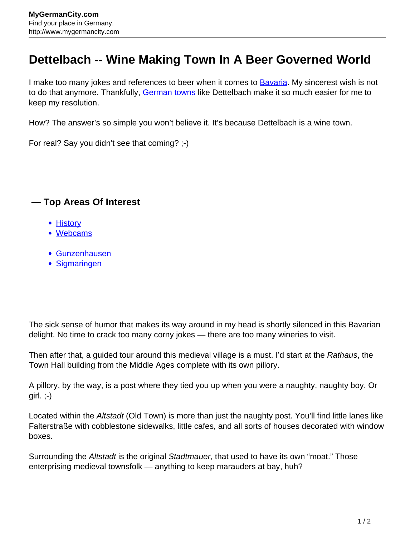## **Dettelbach -- Wine Making Town In A Beer Governed World**

I make too many jokes and references to beer when it comes to **Bavaria**. My sincerest wish is not to do that anymore. Thankfully, [German towns](http://www.mygermancity.com/german-cities) like Dettelbach make it so much easier for me to keep my resolution.

How? The answer's so simple you won't believe it. It's because Dettelbach is a wine town.

For real? Say you didn't see that coming? ;-)

## **— Top Areas Of Interest**

- [History](http://www.mygermancity.com/leipzig-history)
- [Webcams](http://www.mygermancity.com/neustadt-holstein-webcams)
- [Gunzenhausen](http://www.mygermancity.com/gunzenhausen)
- [Sigmaringen](http://www.mygermancity.com/sigmaringen)

The sick sense of humor that makes its way around in my head is shortly silenced in this Bavarian delight. No time to crack too many corny jokes — there are too many wineries to visit.

Then after that, a guided tour around this medieval village is a must. I'd start at the Rathaus, the Town Hall building from the Middle Ages complete with its own pillory.

A pillory, by the way, is a post where they tied you up when you were a naughty, naughty boy. Or  $girl.$ ;- $)$ 

Located within the Altstadt (Old Town) is more than just the naughty post. You'll find little lanes like Falterstraße with cobblestone sidewalks, little cafes, and all sorts of houses decorated with window boxes.

Surrounding the Altstadt is the original Stadtmauer, that used to have its own "moat." Those enterprising medieval townsfolk — anything to keep marauders at bay, huh?